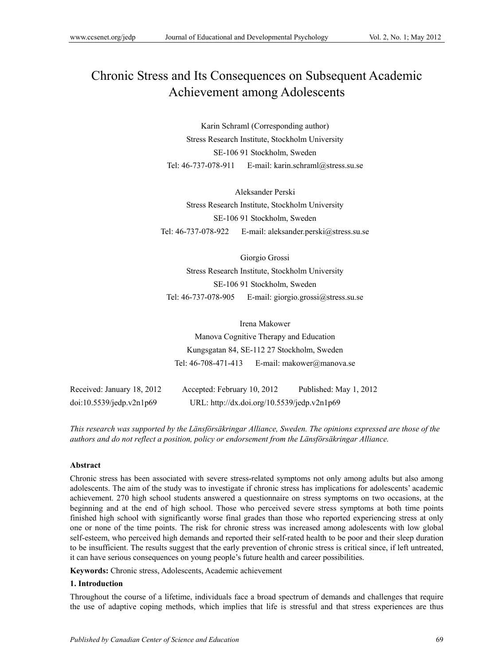# Chronic Stress and Its Consequences on Subsequent Academic Achievement among Adolescents

Karin Schraml (Corresponding author) Stress Research Institute, Stockholm University SE-106 91 Stockholm, Sweden Tel: 46-737-078-911 E-mail: karin.schraml@stress.su.se

Aleksander Perski Stress Research Institute, Stockholm University SE-106 91 Stockholm, Sweden Tel: 46-737-078-922 E-mail: aleksander.perski@stress.su.se

Giorgio Grossi Stress Research Institute, Stockholm University SE-106 91 Stockholm, Sweden Tel: 46-737-078-905 E-mail: giorgio.grossi@stress.su.se

Irena Makower Manova Cognitive Therapy and Education Kungsgatan 84, SE-112 27 Stockholm, Sweden Tel: 46-708-471-413 E-mail: makower@manova.se

| Received: January 18, 2012  | Accepted: February 10, 2012                 | Published: May 1, 2012 |
|-----------------------------|---------------------------------------------|------------------------|
| $doi:10.5539/j$ edp.v2n1p69 | URL: http://dx.doi.org/10.5539/jedp.v2n1p69 |                        |

*This research was supported by the Länsförsäkringar Alliance, Sweden. The opinions expressed are those of the authors and do not reflect a position, policy or endorsement from the Länsförsäkringar Alliance.* 

## **Abstract**

Chronic stress has been associated with severe stress-related symptoms not only among adults but also among adolescents. The aim of the study was to investigate if chronic stress has implications for adolescents' academic achievement. 270 high school students answered a questionnaire on stress symptoms on two occasions, at the beginning and at the end of high school. Those who perceived severe stress symptoms at both time points finished high school with significantly worse final grades than those who reported experiencing stress at only one or none of the time points. The risk for chronic stress was increased among adolescents with low global self-esteem, who perceived high demands and reported their self-rated health to be poor and their sleep duration to be insufficient. The results suggest that the early prevention of chronic stress is critical since, if left untreated, it can have serious consequences on young people's future health and career possibilities.

**Keywords:** Chronic stress, Adolescents, Academic achievement

## **1. Introduction**

Throughout the course of a lifetime, individuals face a broad spectrum of demands and challenges that require the use of adaptive coping methods, which implies that life is stressful and that stress experiences are thus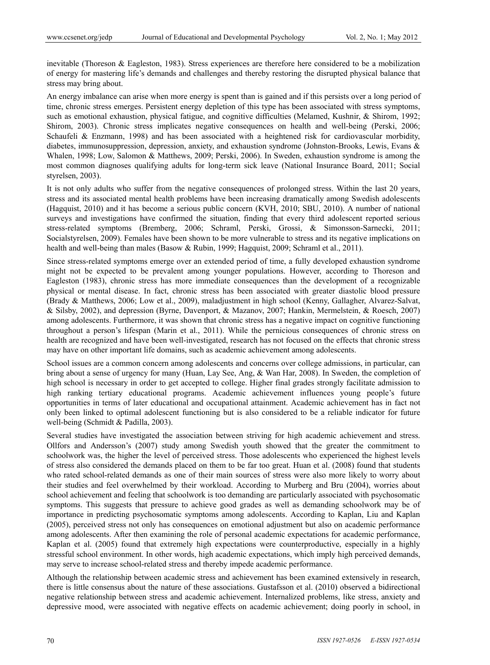inevitable (Thoreson & Eagleston, 1983). Stress experiences are therefore here considered to be a mobilization of energy for mastering life's demands and challenges and thereby restoring the disrupted physical balance that stress may bring about.

An energy imbalance can arise when more energy is spent than is gained and if this persists over a long period of time, chronic stress emerges. Persistent energy depletion of this type has been associated with stress symptoms, such as emotional exhaustion, physical fatigue, and cognitive difficulties (Melamed, Kushnir, & Shirom, 1992; Shirom, 2003). Chronic stress implicates negative consequences on health and well-being (Perski, 2006; Schaufeli & Enzmann, 1998) and has been associated with a heightened risk for cardiovascular morbidity, diabetes, immunosuppression, depression, anxiety, and exhaustion syndrome (Johnston-Brooks, Lewis, Evans & Whalen, 1998; Low, Salomon & Matthews, 2009; Perski, 2006). In Sweden, exhaustion syndrome is among the most common diagnoses qualifying adults for long-term sick leave (National Insurance Board, 2011; Social styrelsen, 2003).

It is not only adults who suffer from the negative consequences of prolonged stress. Within the last 20 years, stress and its associated mental health problems have been increasing dramatically among Swedish adolescents (Hagquist, 2010) and it has become a serious public concern (KVH, 2010; SBU, 2010). A number of national surveys and investigations have confirmed the situation, finding that every third adolescent reported serious stress-related symptoms (Bremberg, 2006; Schraml, Perski, Grossi, & Simonsson-Sarnecki, 2011; Socialstyrelsen, 2009). Females have been shown to be more vulnerable to stress and its negative implications on health and well-being than males (Basow & Rubin, 1999; Hagquist, 2009; Schraml et al., 2011).

Since stress-related symptoms emerge over an extended period of time, a fully developed exhaustion syndrome might not be expected to be prevalent among younger populations. However, according to Thoreson and Eagleston (1983), chronic stress has more immediate consequences than the development of a recognizable physical or mental disease. In fact, chronic stress has been associated with greater diastolic blood pressure (Brady & Matthews, 2006; Low et al., 2009), maladjustment in high school (Kenny, Gallagher, Alvarez-Salvat, & Silsby, 2002), and depression (Byrne, Davenport, & Mazanov, 2007; Hankin, Mermelstein, & Roesch, 2007) among adolescents. Furthermore, it was shown that chronic stress has a negative impact on cognitive functioning throughout a person's lifespan (Marin et al., 2011). While the pernicious consequences of chronic stress on health are recognized and have been well-investigated, research has not focused on the effects that chronic stress may have on other important life domains, such as academic achievement among adolescents.

School issues are a common concern among adolescents and concerns over college admissions, in particular, can bring about a sense of urgency for many (Huan, Lay See, Ang, & Wan Har, 2008). In Sweden, the completion of high school is necessary in order to get accepted to college. Higher final grades strongly facilitate admission to high ranking tertiary educational programs. Academic achievement influences young people's future opportunities in terms of later educational and occupational attainment. Academic achievement has in fact not only been linked to optimal adolescent functioning but is also considered to be a reliable indicator for future well-being (Schmidt & Padilla, 2003).

Several studies have investigated the association between striving for high academic achievement and stress. Ollfors and Andersson's (2007) study among Swedish youth showed that the greater the commitment to schoolwork was, the higher the level of perceived stress. Those adolescents who experienced the highest levels of stress also considered the demands placed on them to be far too great. Huan et al. (2008) found that students who rated school-related demands as one of their main sources of stress were also more likely to worry about their studies and feel overwhelmed by their workload. According to Murberg and Bru (2004), worries about school achievement and feeling that schoolwork is too demanding are particularly associated with psychosomatic symptoms. This suggests that pressure to achieve good grades as well as demanding schoolwork may be of importance in predicting psychosomatic symptoms among adolescents. According to Kaplan, Liu and Kaplan (2005), perceived stress not only has consequences on emotional adjustment but also on academic performance among adolescents. After then examining the role of personal academic expectations for academic performance, Kaplan et al. (2005) found that extremely high expectations were counterproductive, especially in a highly stressful school environment. In other words, high academic expectations, which imply high perceived demands, may serve to increase school-related stress and thereby impede academic performance.

Although the relationship between academic stress and achievement has been examined extensively in research, there is little consensus about the nature of these associations. Gustafsson et al. (2010) observed a bidirectional negative relationship between stress and academic achievement. Internalized problems, like stress, anxiety and depressive mood, were associated with negative effects on academic achievement; doing poorly in school, in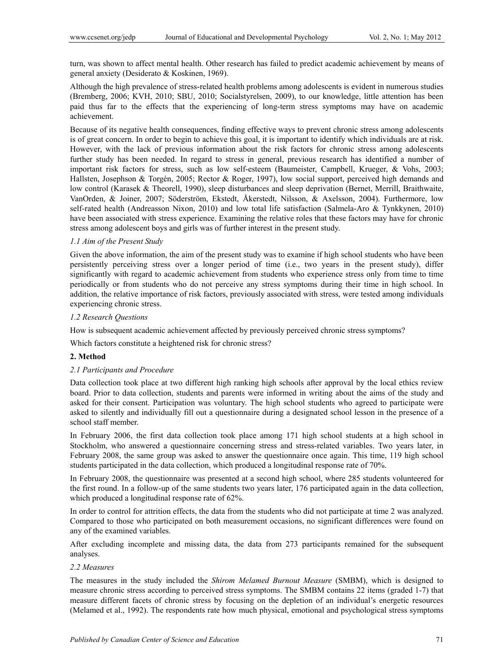turn, was shown to affect mental health. Other research has failed to predict academic achievement by means of general anxiety (Desiderato & Koskinen, 1969).

Although the high prevalence of stress-related health problems among adolescents is evident in numerous studies (Bremberg, 2006; KVH, 2010; SBU, 2010; Socialstyrelsen, 2009), to our knowledge, little attention has been paid thus far to the effects that the experiencing of long-term stress symptoms may have on academic achievement.

Because of its negative health consequences, finding effective ways to prevent chronic stress among adolescents is of great concern. In order to begin to achieve this goal, it is important to identify which individuals are at risk. However, with the lack of previous information about the risk factors for chronic stress among adolescents further study has been needed. In regard to stress in general, previous research has identified a number of important risk factors for stress, such as low self-esteem (Baumeister, Campbell, Krueger, & Vohs, 2003; Hallsten, Josephson & Torgén, 2005; Rector & Roger, 1997), low social support, perceived high demands and low control (Karasek & Theorell, 1990), sleep disturbances and sleep deprivation (Bernet, Merrill, Braithwaite, VanOrden, & Joiner, 2007; Söderström, Ekstedt, Åkerstedt, Nilsson, & Axelsson, 2004). Furthermore, low self-rated health (Andreasson Nixon, 2010) and low total life satisfaction (Salmela-Aro & Tynkkynen, 2010) have been associated with stress experience. Examining the relative roles that these factors may have for chronic stress among adolescent boys and girls was of further interest in the present study.

#### *1.1 Aim of the Present Study*

Given the above information, the aim of the present study was to examine if high school students who have been persistently perceiving stress over a longer period of time (i.e., two years in the present study), differ significantly with regard to academic achievement from students who experience stress only from time to time periodically or from students who do not perceive any stress symptoms during their time in high school. In addition, the relative importance of risk factors, previously associated with stress, were tested among individuals experiencing chronic stress.

#### *1.2 Research Questions*

How is subsequent academic achievement affected by previously perceived chronic stress symptoms?

Which factors constitute a heightened risk for chronic stress?

#### **2. Method**

#### *2.1 Participants and Procedure*

Data collection took place at two different high ranking high schools after approval by the local ethics review board. Prior to data collection, students and parents were informed in writing about the aims of the study and asked for their consent. Participation was voluntary. The high school students who agreed to participate were asked to silently and individually fill out a questionnaire during a designated school lesson in the presence of a school staff member.

In February 2006, the first data collection took place among 171 high school students at a high school in Stockholm, who answered a questionnaire concerning stress and stress-related variables. Two years later, in February 2008, the same group was asked to answer the questionnaire once again. This time, 119 high school students participated in the data collection, which produced a longitudinal response rate of 70%.

In February 2008, the questionnaire was presented at a second high school, where 285 students volunteered for the first round. In a follow-up of the same students two years later, 176 participated again in the data collection, which produced a longitudinal response rate of 62%.

In order to control for attrition effects, the data from the students who did not participate at time 2 was analyzed. Compared to those who participated on both measurement occasions, no significant differences were found on any of the examined variables.

After excluding incomplete and missing data, the data from 273 participants remained for the subsequent analyses.

#### *2.2 Measures*

The measures in the study included the *Shirom Melamed Burnout Measure* (SMBM), which is designed to measure chronic stress according to perceived stress symptoms. The SMBM contains 22 items (graded 1-7) that measure different facets of chronic stress by focusing on the depletion of an individual's energetic resources (Melamed et al., 1992). The respondents rate how much physical, emotional and psychological stress symptoms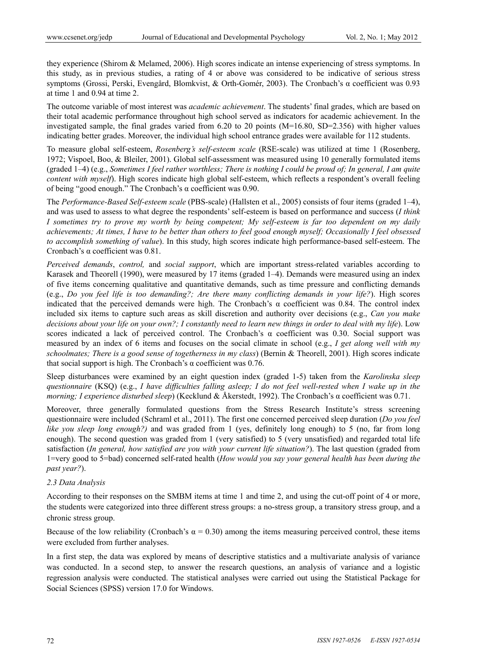they experience (Shirom & Melamed, 2006). High scores indicate an intense experiencing of stress symptoms. In this study, as in previous studies, a rating of 4 or above was considered to be indicative of serious stress symptoms (Grossi, Perski, Evengård, Blomkvist, & Orth-Gomér, 2003). The Cronbach's α coefficient was 0.93 at time 1 and 0.94 at time 2.

The outcome variable of most interest was *academic achievement*. The students' final grades, which are based on their total academic performance throughout high school served as indicators for academic achievement. In the investigated sample, the final grades varied from 6.20 to 20 points  $(M=16.80, SD=2.356)$  with higher values indicating better grades. Moreover, the individual high school entrance grades were available for 112 students.

To measure global self-esteem, *Rosenberg's self-esteem scale* (RSE-scale) was utilized at time 1 (Rosenberg, 1972; Vispoel, Boo, & Bleiler, 2001). Global self-assessment was measured using 10 generally formulated items (graded 1–4) (e.g., *Sometimes I feel rather worthless; There is nothing I could be proud of; In general, I am quite content with myself*). High scores indicate high global self-esteem, which reflects a respondent's overall feeling of being "good enough." The Cronbach's α coefficient was 0.90.

The *Performance-Based Self-esteem scale* (PBS-scale) (Hallsten et al., 2005) consists of four items (graded 1–4), and was used to assess to what degree the respondents' self-esteem is based on performance and success (*I think I sometimes try to prove my worth by being competent; My self-esteem is far too dependent on my daily achievements; At times, I have to be better than others to feel good enough myself; Occasionally I feel obsessed to accomplish something of value*). In this study, high scores indicate high performance-based self-esteem. The Cronbach's α coefficient was 0.81.

*Perceived demands*, *control,* and *social support*, which are important stress-related variables according to Karasek and Theorell (1990), were measured by 17 items (graded 1–4). Demands were measured using an index of five items concerning qualitative and quantitative demands, such as time pressure and conflicting demands (e.g., *Do you feel life is too demanding?; Are there many conflicting demands in your life?*). High scores indicated that the perceived demands were high. The Cronbach's  $\alpha$  coefficient was 0.84. The control index included six items to capture such areas as skill discretion and authority over decisions (e.g., *Can you make decisions about your life on your own?; I constantly need to learn new things in order to deal with my life*). Low scores indicated a lack of perceived control. The Cronbach's α coefficient was 0.30. Social support was measured by an index of 6 items and focuses on the social climate in school (e.g., *I get along well with my schoolmates; There is a good sense of togetherness in my class*) (Bernin & Theorell, 2001). High scores indicate that social support is high. The Cronbach's α coefficient was  $0.76$ .

Sleep disturbances were examined by an eight question index (graded 1-5) taken from the *Karolinska sleep questionnaire* (KSQ) (e.g., *I have difficulties falling asleep; I do not feel well-rested when I wake up in the morning; I experience disturbed sleep*) (Kecklund & Åkerstedt, 1992). The Cronbach's α coefficient was 0.71.

Moreover, three generally formulated questions from the Stress Research Institute's stress screening questionnaire were included (Schraml et al., 2011). The first one concerned perceived sleep duration (*Do you feel like you sleep long enough?)* and was graded from 1 (yes, definitely long enough) to 5 (no, far from long enough). The second question was graded from 1 (very satisfied) to 5 (very unsatisfied) and regarded total life satisfaction (*In general, how satisfied are you with your current life situation?*). The last question (graded from 1=very good to 5=bad) concerned self-rated health (*How would you say your general health has been during the past year?*).

## *2.3 Data Analysis*

According to their responses on the SMBM items at time 1 and time 2, and using the cut-off point of 4 or more, the students were categorized into three different stress groups: a no-stress group, a transitory stress group, and a chronic stress group.

Because of the low reliability (Cronbach's  $\alpha = 0.30$ ) among the items measuring perceived control, these items were excluded from further analyses.

In a first step, the data was explored by means of descriptive statistics and a multivariate analysis of variance was conducted. In a second step, to answer the research questions, an analysis of variance and a logistic regression analysis were conducted. The statistical analyses were carried out using the Statistical Package for Social Sciences (SPSS) version 17.0 for Windows.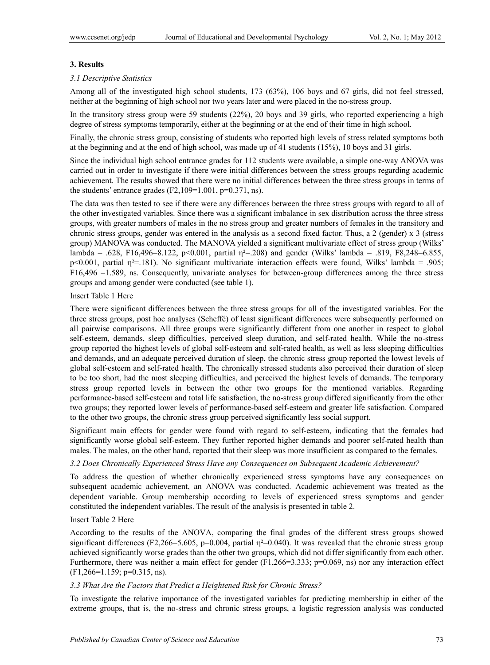## **3. Results**

## *3.1 Descriptive Statistics*

Among all of the investigated high school students, 173 (63%), 106 boys and 67 girls, did not feel stressed, neither at the beginning of high school nor two years later and were placed in the no-stress group.

In the transitory stress group were 59 students (22%), 20 boys and 39 girls, who reported experiencing a high degree of stress symptoms temporarily, either at the beginning or at the end of their time in high school.

Finally, the chronic stress group, consisting of students who reported high levels of stress related symptoms both at the beginning and at the end of high school, was made up of 41 students (15%), 10 boys and 31 girls.

Since the individual high school entrance grades for 112 students were available, a simple one-way ANOVA was carried out in order to investigate if there were initial differences between the stress groups regarding academic achievement. The results showed that there were no initial differences between the three stress groups in terms of the students' entrance grades  $(F2,109=1.001, p=0.371, ns)$ .

The data was then tested to see if there were any differences between the three stress groups with regard to all of the other investigated variables. Since there was a significant imbalance in sex distribution across the three stress groups, with greater numbers of males in the no stress group and greater numbers of females in the transitory and chronic stress groups, gender was entered in the analysis as a second fixed factor. Thus, a  $2$  (gender) x  $3$  (stress group) MANOVA was conducted. The MANOVA yielded a significant multivariate effect of stress group (Wilks' lambda = .628, F16,496=8.122, p<0.001, partial  $\eta^2 = 208$ ) and gender (Wilks' lambda = .819, F8,248=6.855, p<0.001, partial  $\eta^2$ =.181). No significant multivariate interaction effects were found, Wilks' lambda = .905; F16,496 =1.589, ns. Consequently, univariate analyses for between-group differences among the three stress groups and among gender were conducted (see table 1).

## Insert Table 1 Here

There were significant differences between the three stress groups for all of the investigated variables. For the three stress groups, post hoc analyses (Scheffé) of least significant differences were subsequently performed on all pairwise comparisons. All three groups were significantly different from one another in respect to global self-esteem, demands, sleep difficulties, perceived sleep duration, and self-rated health. While the no-stress group reported the highest levels of global self-esteem and self-rated health, as well as less sleeping difficulties and demands, and an adequate perceived duration of sleep, the chronic stress group reported the lowest levels of global self-esteem and self-rated health. The chronically stressed students also perceived their duration of sleep to be too short, had the most sleeping difficulties, and perceived the highest levels of demands. The temporary stress group reported levels in between the other two groups for the mentioned variables. Regarding performance-based self-esteem and total life satisfaction, the no-stress group differed significantly from the other two groups; they reported lower levels of performance-based self-esteem and greater life satisfaction. Compared to the other two groups, the chronic stress group perceived significantly less social support.

Significant main effects for gender were found with regard to self-esteem, indicating that the females had significantly worse global self-esteem. They further reported higher demands and poorer self-rated health than males. The males, on the other hand, reported that their sleep was more insufficient as compared to the females.

## *3.2 Does Chronically Experienced Stress Have any Consequences on Subsequent Academic Achievement?*

To address the question of whether chronically experienced stress symptoms have any consequences on subsequent academic achievement, an ANOVA was conducted. Academic achievement was treated as the dependent variable. Group membership according to levels of experienced stress symptoms and gender constituted the independent variables. The result of the analysis is presented in table 2.

## Insert Table 2 Here

According to the results of the ANOVA, comparing the final grades of the different stress groups showed significant differences (F2,266=5.605, p=0.004, partial  $\eta$ <sup>2=</sup>0.040). It was revealed that the chronic stress group achieved significantly worse grades than the other two groups, which did not differ significantly from each other. Furthermore, there was neither a main effect for gender (F1,266=3.333; p=0.069, ns) nor any interaction effect (F1,266=1.159; p=0.315, ns).

## *3.3 What Are the Factors that Predict a Heightened Risk for Chronic Stress?*

To investigate the relative importance of the investigated variables for predicting membership in either of the extreme groups, that is, the no-stress and chronic stress groups, a logistic regression analysis was conducted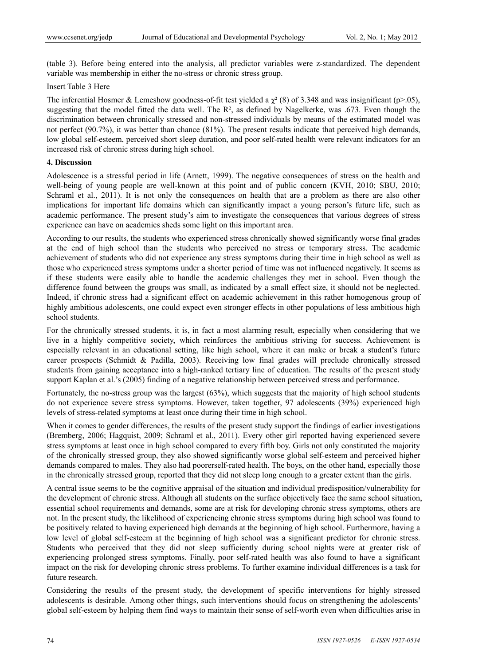(table 3). Before being entered into the analysis, all predictor variables were z-standardized. The dependent variable was membership in either the no-stress or chronic stress group.

Insert Table 3 Here

The inferential Hosmer & Lemeshow goodness-of-fit test yielded a  $\gamma^2$  (8) of 3.348 and was insignificant (p>.05), suggesting that the model fitted the data well. The  $R<sup>2</sup>$ , as defined by Nagelkerke, was .673. Even though the discrimination between chronically stressed and non-stressed individuals by means of the estimated model was not perfect (90.7%), it was better than chance (81%). The present results indicate that perceived high demands, low global self-esteem, perceived short sleep duration, and poor self-rated health were relevant indicators for an increased risk of chronic stress during high school.

## **4. Discussion**

Adolescence is a stressful period in life (Arnett, 1999). The negative consequences of stress on the health and well-being of young people are well-known at this point and of public concern (KVH, 2010; SBU, 2010; Schraml et al., 2011). It is not only the consequences on health that are a problem as there are also other implications for important life domains which can significantly impact a young person's future life, such as academic performance. The present study's aim to investigate the consequences that various degrees of stress experience can have on academics sheds some light on this important area.

According to our results, the students who experienced stress chronically showed significantly worse final grades at the end of high school than the students who perceived no stress or temporary stress. The academic achievement of students who did not experience any stress symptoms during their time in high school as well as those who experienced stress symptoms under a shorter period of time was not influenced negatively. It seems as if these students were easily able to handle the academic challenges they met in school. Even though the difference found between the groups was small, as indicated by a small effect size, it should not be neglected. Indeed, if chronic stress had a significant effect on academic achievement in this rather homogenous group of highly ambitious adolescents, one could expect even stronger effects in other populations of less ambitious high school students.

For the chronically stressed students, it is, in fact a most alarming result, especially when considering that we live in a highly competitive society, which reinforces the ambitious striving for success. Achievement is especially relevant in an educational setting, like high school, where it can make or break a student's future career prospects (Schmidt & Padilla, 2003). Receiving low final grades will preclude chronically stressed students from gaining acceptance into a high-ranked tertiary line of education. The results of the present study support Kaplan et al.'s (2005) finding of a negative relationship between perceived stress and performance.

Fortunately, the no-stress group was the largest (63%), which suggests that the majority of high school students do not experience severe stress symptoms. However, taken together, 97 adolescents (39%) experienced high levels of stress-related symptoms at least once during their time in high school.

When it comes to gender differences, the results of the present study support the findings of earlier investigations (Bremberg, 2006; Hagquist, 2009; Schraml et al., 2011). Every other girl reported having experienced severe stress symptoms at least once in high school compared to every fifth boy. Girls not only constituted the majority of the chronically stressed group, they also showed significantly worse global self-esteem and perceived higher demands compared to males. They also had poorerself-rated health. The boys, on the other hand, especially those in the chronically stressed group, reported that they did not sleep long enough to a greater extent than the girls.

A central issue seems to be the cognitive appraisal of the situation and individual predisposition/vulnerability for the development of chronic stress. Although all students on the surface objectively face the same school situation, essential school requirements and demands, some are at risk for developing chronic stress symptoms, others are not. In the present study, the likelihood of experiencing chronic stress symptoms during high school was found to be positively related to having experienced high demands at the beginning of high school. Furthermore, having a low level of global self-esteem at the beginning of high school was a significant predictor for chronic stress. Students who perceived that they did not sleep sufficiently during school nights were at greater risk of experiencing prolonged stress symptoms. Finally, poor self-rated health was also found to have a significant impact on the risk for developing chronic stress problems. To further examine individual differences is a task for future research.

Considering the results of the present study, the development of specific interventions for highly stressed adolescents is desirable. Among other things, such interventions should focus on strengthening the adolescents' global self-esteem by helping them find ways to maintain their sense of self-worth even when difficulties arise in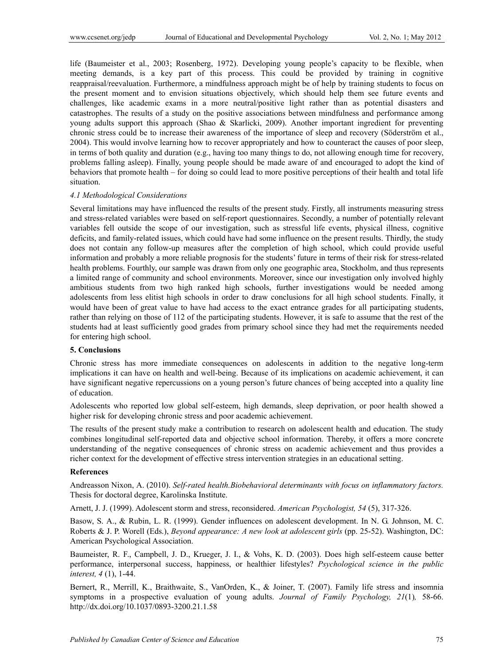life (Baumeister et al., 2003; Rosenberg, 1972). Developing young people's capacity to be flexible, when meeting demands, is a key part of this process. This could be provided by training in cognitive reappraisal/reevaluation. Furthermore, a mindfulness approach might be of help by training students to focus on the present moment and to envision situations objectively, which should help them see future events and challenges, like academic exams in a more neutral/positive light rather than as potential disasters and catastrophes. The results of a study on the positive associations between mindfulness and performance among young adults support this approach (Shao & Skarlicki, 2009). Another important ingredient for preventing chronic stress could be to increase their awareness of the importance of sleep and recovery (Söderström et al., 2004). This would involve learning how to recover appropriately and how to counteract the causes of poor sleep, in terms of both quality and duration (e.g., having too many things to do, not allowing enough time for recovery, problems falling asleep). Finally, young people should be made aware of and encouraged to adopt the kind of behaviors that promote health – for doing so could lead to more positive perceptions of their health and total life situation.

## *4.1 Methodological Considerations*

Several limitations may have influenced the results of the present study. Firstly, all instruments measuring stress and stress-related variables were based on self-report questionnaires. Secondly, a number of potentially relevant variables fell outside the scope of our investigation, such as stressful life events, physical illness, cognitive deficits, and family-related issues, which could have had some influence on the present results. Thirdly, the study does not contain any follow-up measures after the completion of high school, which could provide useful information and probably a more reliable prognosis for the students' future in terms of their risk for stress-related health problems. Fourthly, our sample was drawn from only one geographic area, Stockholm, and thus represents a limited range of community and school environments. Moreover, since our investigation only involved highly ambitious students from two high ranked high schools, further investigations would be needed among adolescents from less elitist high schools in order to draw conclusions for all high school students. Finally, it would have been of great value to have had access to the exact entrance grades for all participating students, rather than relying on those of 112 of the participating students. However, it is safe to assume that the rest of the students had at least sufficiently good grades from primary school since they had met the requirements needed for entering high school.

#### **5. Conclusions**

Chronic stress has more immediate consequences on adolescents in addition to the negative long-term implications it can have on health and well-being. Because of its implications on academic achievement, it can have significant negative repercussions on a young person's future chances of being accepted into a quality line of education.

Adolescents who reported low global self-esteem, high demands, sleep deprivation, or poor health showed a higher risk for developing chronic stress and poor academic achievement.

The results of the present study make a contribution to research on adolescent health and education. The study combines longitudinal self-reported data and objective school information. Thereby, it offers a more concrete understanding of the negative consequences of chronic stress on academic achievement and thus provides a richer context for the development of effective stress intervention strategies in an educational setting.

## **References**

Andreasson Nixon, A. (2010). *Self-rated health.Biobehavioral determinants with focus on inflammatory factors.*  Thesis for doctoral degree, Karolinska Institute.

Arnett, J. J. (1999). Adolescent storm and stress, reconsidered. *American Psychologist, 54* (5), 317-326.

Basow, S. A., & Rubin, L. R. (1999). Gender influences on adolescent development. In N. G. Johnson, M. C. Roberts & J. P. Worell (Eds.), *Beyond appearance: A new look at adolescent girls* (pp. 25-52). Washington, DC: American Psychological Association.

Baumeister, R. F., Campbell, J. D., Krueger, J. I., & Vohs, K. D. (2003). Does high self-esteem cause better performance, interpersonal success, happiness, or healthier lifestyles? *Psychological science in the public interest, 4* (1), 1-44.

Bernert, R., Merrill, K., Braithwaite, S., VanOrden, K., & Joiner, T. (2007). Family life stress and insomnia symptoms in a prospective evaluation of young adults. *Journal of Family Psychology, 21*(1)*,* 58-66. http://dx.doi.org/10.1037/0893-3200.21.1.58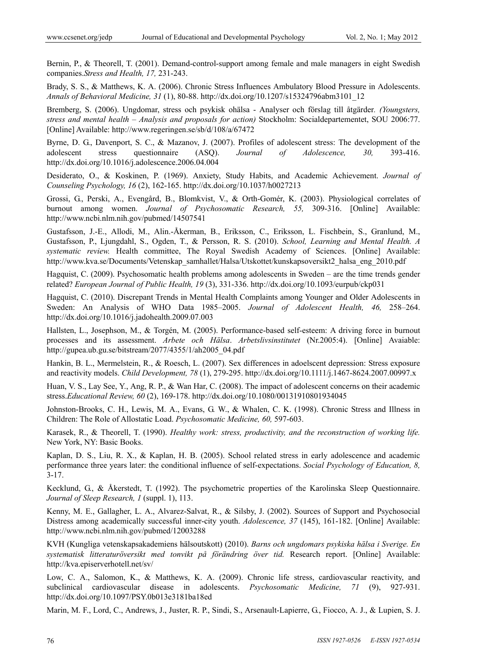Bernin, P., & Theorell, T. (2001). Demand-control-support among female and male managers in eight Swedish companies.*Stress and Health, 17,* 231-243.

Brady, S. S., & Matthews, K. A. (2006). Chronic Stress Influences Ambulatory Blood Pressure in Adolescents. *Annals of Behavioral Medicine, 31* (1), 80-88. http://dx.doi.org/10.1207/s15324796abm3101\_12

Bremberg, S. (2006). Ungdomar, stress och psykisk ohälsa - Analyser och förslag till åtgärder*. (Youngsters, stress and mental health – Analysis and proposals for action)* Stockholm: Socialdepartementet, SOU 2006:77. [Online] Available: http://www.regeringen.se/sb/d/108/a/67472

Byrne, D. G., Davenport, S. C., & Mazanov, J. (2007). Profiles of adolescent stress: The development of the adolescent stress questionnaire (ASQ). *Journal of Adolescence, 30,* 393-416. http://dx.doi.org/10.1016/j.adolescence.2006.04.004

Desiderato, O., & Koskinen, P. (1969). Anxiety, Study Habits, and Academic Achievement. *Journal of Counseling Psychology, 16* (2), 162-165. http://dx.doi.org/10.1037/h0027213

Grossi, G., Perski, A., Evengård, B., Blomkvist, V., & Orth-Gomér, K. (2003). Physiological correlates of burnout among women. *Journal of Psychosomatic Research, 55,* 309-316. [Online] Available: http://www.ncbi.nlm.nih.gov/pubmed/14507541

Gustafsson, J.-E., Allodi, M., Alin.-Åkerman, B., Eriksson, C., Eriksson, L. Fischbein, S., Granlund, M., Gustafsson, P., Ljungdahl, S., Ogden, T., & Persson, R. S. (2010). *School, Learning and Mental Health. A systematic review.* Health committee, The Royal Swedish Academy of Sciences. [Online] Available: http://www.kva.se/Documents/Vetenskap\_samhallet/Halsa/Utskottet/kunskapsoversikt2\_halsa\_eng\_2010.pdf

Hagquist, C. (2009). Psychosomatic health problems among adolescents in Sweden – are the time trends gender related? *European Journal of Public Health, 19* (3), 331-336. http://dx.doi.org/10.1093/eurpub/ckp031

Hagquist, C. (2010). Discrepant Trends in Mental Health Complaints among Younger and Older Adolescents in Sweden: An Analysis of WHO Data 1985–2005. *Journal of Adolescent Health, 46,* 258–264. http://dx.doi.org/10.1016/j.jadohealth.2009.07.003

Hallsten, L., Josephson, M., & Torgén, M. (2005). Performance-based self-esteem: A driving force in burnout processes and its assessment. *Arbete och Hälsa*. *Arbetslivsinstitutet* (Nr.2005:4). [Online] Avaiable: http://gupea.ub.gu.se/bitstream/2077/4355/1/ah2005\_04.pdf

Hankin, B. L., Mermelstein, R., & Roesch, L. (2007). Sex differences in adoelscent depression: Stress exposure and reactivity models. *Child Development, 78* (1), 279-295. http://dx.doi.org/10.1111/j.1467-8624.2007.00997.x

Huan, V. S., Lay See, Y., Ang, R. P., & Wan Har, C. (2008). The impact of adolescent concerns on their academic stress.*Educational Review, 60* (2), 169-178. http://dx.doi.org/10.1080/00131910801934045

Johnston-Brooks, C. H., Lewis, M. A., Evans, G. W., & Whalen, C. K. (1998). Chronic Stress and Illness in Children: The Role of Allostatic Load. *Psychosomatic Medicine, 60,* 597-603.

Karasek, R., & Theorell, T. (1990). *Healthy work: stress, productivity, and the reconstruction of working life.* New York, NY: Basic Books.

Kaplan, D. S., Liu, R. X., & Kaplan, H. B. (2005). School related stress in early adolescence and academic performance three years later: the conditional influence of self-expectations. *Social Psychology of Education, 8,* 3-17.

Kecklund, G., & Åkerstedt, T. (1992). The psychometric properties of the Karolinska Sleep Questionnaire. *Journal of Sleep Research, 1* (suppl. 1), 113.

Kenny, M. E., Gallagher, L. A., Alvarez-Salvat, R., & Silsby, J. (2002). Sources of Support and Psychosocial Distress among academically successful inner-city youth. *Adolescence, 37* (145), 161-182. [Online] Available: http://www.ncbi.nlm.nih.gov/pubmed/12003288

KVH (Kungliga vetenskapsakademiens hälsoutskott) (2010). *Barns och ungdomars psykiska hälsa i Sverige. En systematisk litteraturöversikt med tonvikt på förändring över tid.* Research report. [Online] Available: http://kva.episerverhotell.net/sv/

Low, C. A., Salomon, K., & Matthews, K. A. (2009). Chronic life stress, cardiovascular reactivity, and subclinical cardiovascular disease in adolescents. *Psychosomatic Medicine, 71* (9), 927-931. http://dx.doi.org/10.1097/PSY.0b013e3181ba18ed

Marin, M. F., Lord, C., Andrews, J., Juster, R. P., Sindi, S., Arsenault-Lapierre, G., Fiocco, A. J., & Lupien, S. J.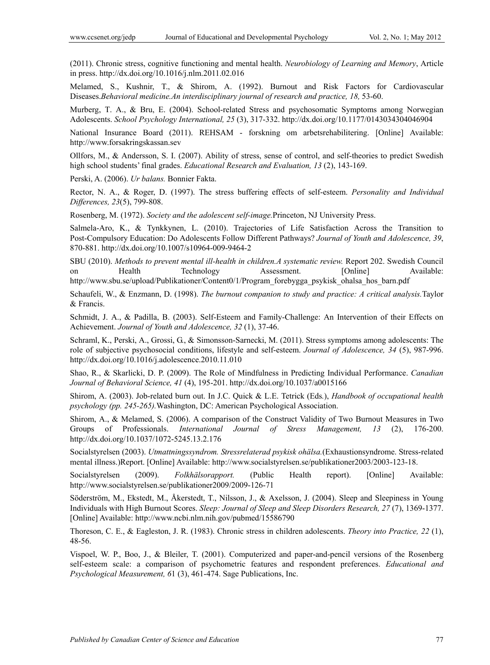(2011). Chronic stress, cognitive functioning and mental health. *Neurobiology of Learning and Memory*, Article in press. http://dx.doi.org/10.1016/j.nlm.2011.02.016

Melamed, S., Kushnir, T., & Shirom, A. (1992). Burnout and Risk Factors for Cardiovascular Diseases.*Behavioral medicine.An interdisciplinary journal of research and practice, 18,* 53-60.

Murberg, T. A., & Bru, E. (2004). School-related Stress and psychosomatic Symptoms among Norwegian Adolescents. *School Psychology International, 25* (3), 317-332. http://dx.doi.org/10.1177/0143034304046904

National Insurance Board (2011). REHSAM - forskning om arbetsrehabilitering. [Online] Available: http://www.forsakringskassan.sev

Ollfors, M., & Andersson, S. I. (2007). Ability of stress, sense of control, and self-theories to predict Swedish high school students' final grades. *Educational Research and Evaluation, 13* (2), 143-169.

Perski, A. (2006). *Ur balans.* Bonnier Fakta.

Rector, N. A., & Roger, D. (1997). The stress buffering effects of self-esteem. *Personality and Individual Differences, 23*(5), 799-808.

Rosenberg, M. (1972). *Society and the adolescent self-image.*Princeton, NJ University Press.

Salmela-Aro, K., & Tynkkynen, L. (2010). Trajectories of Life Satisfaction Across the Transition to Post-Compulsory Education: Do Adolescents Follow Different Pathways? *Journal of Youth and Adolescence, 39*, 870-881. http://dx.doi.org/10.1007/s10964-009-9464-2

SBU (2010). *Methods to prevent mental ill-health in children.A systematic review.* Report 202. Swedish Council on Health Technology Assessment. [Online] Available: http://www.sbu.se/upload/Publikationer/Content0/1/Program\_forebygga\_psykisk\_ohalsa\_hos\_barn.pdf

Schaufeli, W., & Enzmann, D. (1998). *The burnout companion to study and practice: A critical analysis.*Taylor & Francis.

Schmidt, J. A., & Padilla, B. (2003). Self-Esteem and Family-Challenge: An Intervention of their Effects on Achievement. *Journal of Youth and Adolescence, 32* (1), 37-46.

Schraml, K., Perski, A., Grossi, G., & Simonsson-Sarnecki, M. (2011). Stress symptoms among adolescents: The role of subjective psychosocial conditions, lifestyle and self-esteem. *Journal of Adolescence, 34* (5), 987-996. http://dx.doi.org/10.1016/j.adolescence.2010.11.010

Shao, R., & Skarlicki, D. P. (2009). The Role of Mindfulness in Predicting Individual Performance. *Canadian Journal of Behavioral Science, 41* (4), 195-201. http://dx.doi.org/10.1037/a0015166

Shirom, A. (2003). Job-related burn out. In J.C. Quick & L.E. Tetrick (Eds*.*), *Handbook of occupational health psychology (pp. 245-265).*Washington, DC: American Psychological Association.

Shirom, A., & Melamed, S. (2006). A comparison of the Construct Validity of Two Burnout Measures in Two Groups of Professionals. *International Journal of Stress Management, 13* (2), 176-200. http://dx.doi.org/10.1037/1072-5245.13.2.176

Socialstyrelsen (2003). *Utmattningssyndrom. Stressrelaterad psykisk ohälsa.*(Exhaustionsyndrome. Stress-related mental illness.)Report. [Online] Available: http://www.socialstyrelsen.se/publikationer2003/2003-123-18.

Socialstyrelsen (2009). *Folkhälsorapport.* (Public Health report). [Online] Available: http://www.socialstyrelsen.se/publikationer2009/2009-126-71

Söderström, M., Ekstedt, M., Åkerstedt, T., Nilsson, J., & Axelsson, J. (2004). Sleep and Sleepiness in Young Individuals with High Burnout Scores. *Sleep: Journal of Sleep and Sleep Disorders Research, 27* (7), 1369-1377. [Online] Available: http://www.ncbi.nlm.nih.gov/pubmed/15586790

Thoreson, C. E., & Eagleston, J. R. (1983). Chronic stress in children adolescents. *Theory into Practice, 22* (1), 48-56.

Vispoel, W. P., Boo, J., & Bleiler, T. (2001). Computerized and paper-and-pencil versions of the Rosenberg self-esteem scale: a comparison of psychometric features and respondent preferences. *Educational and Psychological Measurement, 6*1 (3), 461-474. Sage Publications, Inc.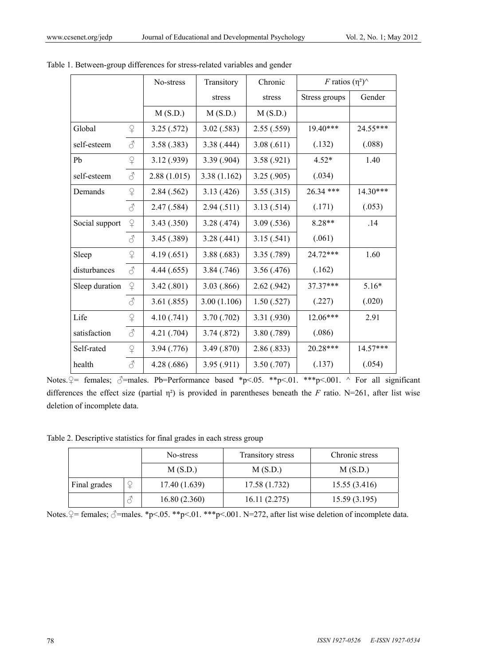|                |                     | No-stress   | Transitory  | Chronic     | F ratios $(\eta^2)$ |            |
|----------------|---------------------|-------------|-------------|-------------|---------------------|------------|
|                |                     |             | stress      | stress      | Stress groups       | Gender     |
|                |                     | M(S.D.)     | M(S.D.)     | M(S.D.)     |                     |            |
| Global         | $\Omega$            | 3.25(.572)  | 3.02(.583)  | 2.55(.559)  | $19.40***$          | 24.55***   |
| self-esteem    | $\vec{\mathcal{C}}$ | 3.58(.383)  | 3.38(.444)  | 3.08(.611)  | (.132)              | (.088)     |
| Pb             | $\Omega$            | 3.12(0.939) | 3.39(.904)  | 3.58(.921)  | $4.52*$             | 1.40       |
| self-esteem    | 8                   | 2.88(1.015) | 3.38(1.162) | 3.25(.905)  | (.034)              |            |
| Demands        | $\Omega$            | 2.84(.562)  | 3.13(0.426) | 3.55(.315)  | 26.34 ***           | 14.30***   |
|                | 8                   | 2.47(.584)  | 2.94(.511)  | 3.13(.514)  | (.171)              | (.053)     |
| Social support | $\Omega$            | 3.43(.350)  | 3.28(.474)  | 3.09(.536)  | 8.28**              | .14        |
|                | 8                   | 3.45(.389)  | 3.28(.441)  | 3.15(.541)  | (.061)              |            |
| Sleep          | $\mathsf{P}$        | 4.19(0.651) | 3.88(.683)  | 3.35 (.789) | 24.72***            | 1.60       |
| disturbances   | ♂                   | 4.44(.655)  | 3.84(.746)  | 3.56(0.476) | (.162)              |            |
| Sleep duration | $\Omega$            | 3.42(.801)  | 3.03(.866)  | 2.62 (.942) | 37.37***            | $5.16*$    |
|                | 8                   | 3.61(.855)  | 3.00(1.106) | 1.50(.527)  | (.227)              | (.020)     |
| Life           | $\Omega$            | 4.10(.741)  | 3.70(.702)  | 3.31 (.930) | 12.06***            | 2.91       |
| satisfaction   | 8                   | 4.21(.704)  | 3.74 (.872) | 3.80 (.789) | (.086)              |            |
| Self-rated     | $\Omega$            | 3.94 (.776) | 3.49(.870)  | 2.86(.833)  | 20.28***            | $14.57***$ |
| health         | 8                   | 4.28 (.686) | 3.95(.911)  | 3.50(.707)  | (.137)              | (.054)     |

| Table 1. Between-group differences for stress-related variables and gender |  |  |  |  |  |  |
|----------------------------------------------------------------------------|--|--|--|--|--|--|
|----------------------------------------------------------------------------|--|--|--|--|--|--|

Notes.  $\frac{1}{x}$  females;  $\frac{1}{x}$ =males. Pb=Performance based \*p<.05. \*\*p<.01. \*\*\*p<.001. ^ For all significant differences the effect size (partial  $\eta^2$ ) is provided in parentheses beneath the *F* ratio. N=261, after list wise deletion of incomplete data.

Table 2. Descriptive statistics for final grades in each stress group

|              |  | No-stress     | Transitory stress | Chronic stress |  |
|--------------|--|---------------|-------------------|----------------|--|
|              |  | M(S.D.)       | M(S.D.)           | M(S.D.)        |  |
| Final grades |  | 17.40 (1.639) | 17.58 (1.732)     | 15.55(3.416)   |  |
|              |  | 16.80(2.360)  | 16.11(2.275)      | 15.59(3.195)   |  |

Notes.  $\frac{1}{2}$  = females;  $\frac{A}{2}$  =males. \*p<.05. \*\*p<.01. \*\*\*p<.001. N=272, after list wise deletion of incomplete data.